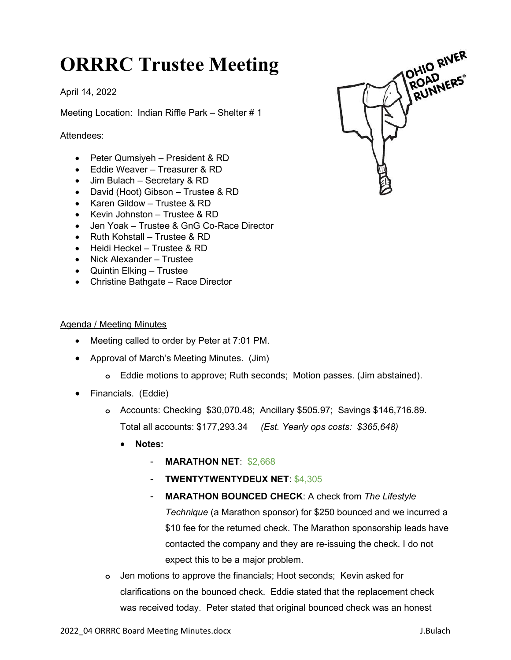## ORRRC Trustee Meeting

April 14, 2022

Meeting Location: Indian Riffle Park – Shelter # 1

Attendees:

- Peter Qumsiyeh President & RD
- Eddie Weaver Treasurer & RD
- Jim Bulach Secretary & RD
- David (Hoot) Gibson Trustee & RD
- Karen Gildow Trustee & RD
- Kevin Johnston Trustee & RD
- Jen Yoak Trustee & GnG Co-Race Director
- Ruth Kohstall Trustee & RD
- Heidi Heckel Trustee & RD
- Nick Alexander Trustee
- Quintin Elking Trustee
- Christine Bathgate Race Director

## Agenda / Meeting Minutes

- Meeting called to order by Peter at 7:01 PM.
- Approval of March's Meeting Minutes. (Jim)
	- o Eddie motions to approve; Ruth seconds; Motion passes. (Jim abstained).
- Financials. (Eddie)
	- o Accounts: Checking \$30,070.48; Ancillary \$505.97; Savings \$146,716.89. Total all accounts: \$177,293.34 (Est. Yearly ops costs: \$365,648)
		- Notes:
			- MARATHON NET: \$2,668
			- TWENTYTWENTYDEUX NET: \$4,305
			- MARATHON BOUNCED CHECK: A check from The Lifestyle Technique (a Marathon sponsor) for \$250 bounced and we incurred a \$10 fee for the returned check. The Marathon sponsorship leads have contacted the company and they are re-issuing the check. I do not expect this to be a major problem.
	- o Jen motions to approve the financials; Hoot seconds; Kevin asked for clarifications on the bounced check. Eddie stated that the replacement check was received today. Peter stated that original bounced check was an honest

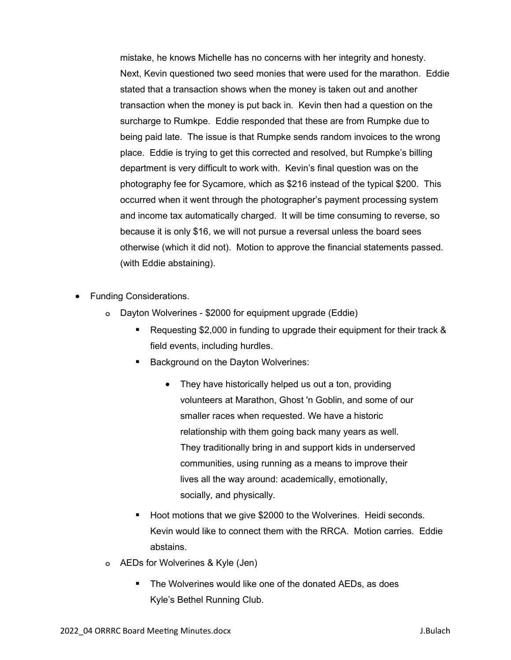mistake, he knows Michelle has no concerns with her integrity and honesty. Next, Kevin questioned two seed monies that were used for the marathon. Eddie stated that a transaction shows when the money is taken out and another transaction when the money is put back in. Kevin then had a question on the surcharge to Rumkpe. Eddie responded that these are from Rumpke due to being paid late. The issue is that Rumpke sends random invoices to the wrong place. Eddie is trying to get this corrected and resolved, but Rumpke's billing department is very difficult to work with. Kevin's final question was on the photography fee for Sycamore, which as \$216 instead of the typical \$200. This occurred when it went through the photographer's payment processing system and income tax automatically charged. It will be time consuming to reverse, so because it is only \$16, we will not pursue a reversal unless the board sees otherwise (which it did not). Motion to approve the financial statements passed. (with Eddie abstaining).

- Funding Considerations.
	- o Dayton Wolverines \$2000 for equipment upgrade (Eddie)
		- Requesting \$2,000 in funding to upgrade their equipment for their track & field events, including hurdles.
		- Background on the Dayton Wolverines:
			- They have historically helped us out a ton, providing volunteers at Marathon, Ghost 'n Goblin, and some of our smaller races when requested. We have a historic relationship with them going back many years as well. They traditionally bring in and support kids in underserved communities, using running as a means to improve their lives all the way around: academically, emotionally, socially, and physically.
		- Hoot motions that we give \$2000 to the Wolverines. Heidi seconds. Kevin would like to connect them with the RRCA. Motion carries. Eddie abstains.
	- o AEDs for Wolverines & Kyle (Jen)
		- The Wolverines would like one of the donated AEDs, as does Kyle's Bethel Running Club.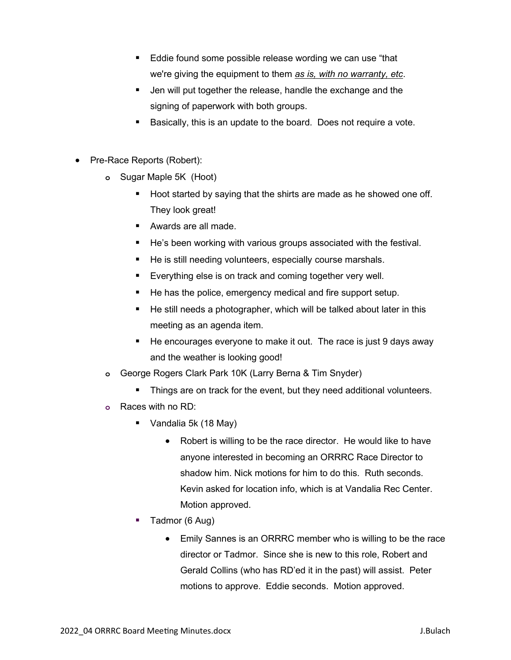- Eddie found some possible release wording we can use "that we're giving the equipment to them as is, with no warranty, etc.
- Jen will put together the release, handle the exchange and the signing of paperwork with both groups.
- Basically, this is an update to the board. Does not require a vote.
- Pre-Race Reports (Robert):
	- o Sugar Maple 5K (Hoot)
		- Hoot started by saying that the shirts are made as he showed one off. They look great!
		- Awards are all made.
		- He's been working with various groups associated with the festival.
		- He is still needing volunteers, especially course marshals.
		- Everything else is on track and coming together very well.
		- He has the police, emergency medical and fire support setup.
		- He still needs a photographer, which will be talked about later in this meeting as an agenda item.
		- He encourages everyone to make it out. The race is just 9 days away and the weather is looking good!
	- o George Rogers Clark Park 10K (Larry Berna & Tim Snyder)
		- Things are on track for the event, but they need additional volunteers.
	- o Races with no RD:
		- Vandalia 5k (18 May)
			- Robert is willing to be the race director. He would like to have anyone interested in becoming an ORRRC Race Director to shadow him. Nick motions for him to do this. Ruth seconds. Kevin asked for location info, which is at Vandalia Rec Center. Motion approved.
		- Tadmor (6 Aug)
			- Emily Sannes is an ORRRC member who is willing to be the race director or Tadmor. Since she is new to this role, Robert and Gerald Collins (who has RD'ed it in the past) will assist. Peter motions to approve. Eddie seconds. Motion approved.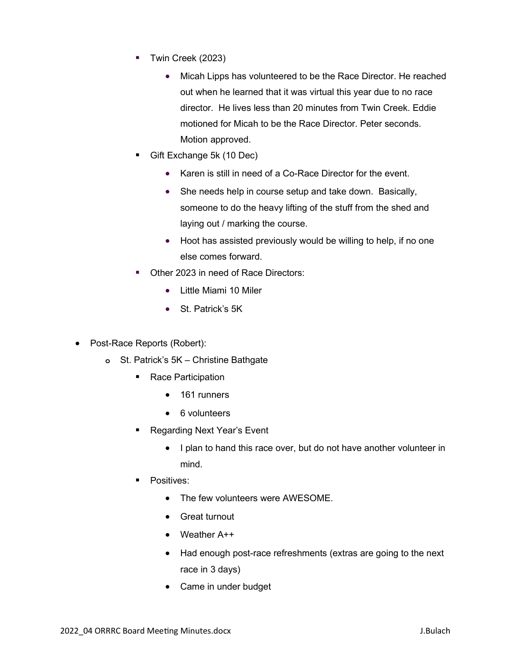- Twin Creek (2023)
	- Micah Lipps has volunteered to be the Race Director. He reached out when he learned that it was virtual this year due to no race director. He lives less than 20 minutes from Twin Creek. Eddie motioned for Micah to be the Race Director. Peter seconds. Motion approved.
- Gift Exchange 5k (10 Dec)
	- Karen is still in need of a Co-Race Director for the event.
	- She needs help in course setup and take down. Basically, someone to do the heavy lifting of the stuff from the shed and laying out / marking the course.
	- Hoot has assisted previously would be willing to help, if no one else comes forward.
- Other 2023 in need of Race Directors:
	- Little Miami 10 Miler
	- St. Patrick's 5K
- Post-Race Reports (Robert):
	- o St. Patrick's 5K Christine Bathgate
		- Race Participation
			- 161 runners
			- 6 volunteers
		- Regarding Next Year's Event
			- I plan to hand this race over, but do not have another volunteer in mind.
		- Positives:
			- The few volunteers were AWESOME.
			- Great turnout
			- Weather A++
			- Had enough post-race refreshments (extras are going to the next race in 3 days)
			- Came in under budget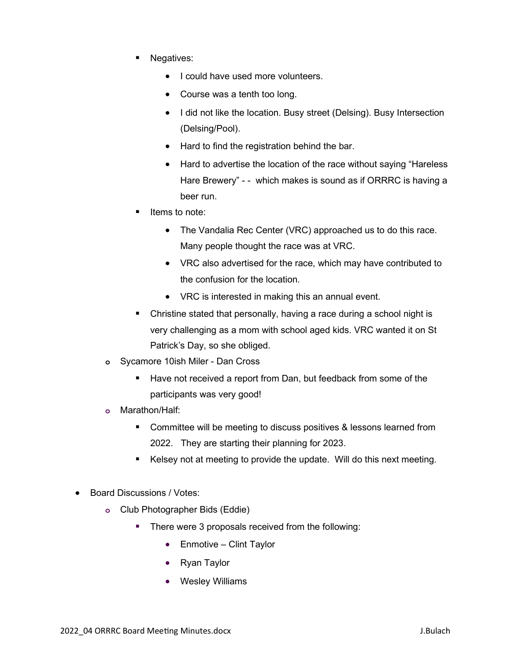- Negatives:
	- I could have used more volunteers.
	- Course was a tenth too long.
	- I did not like the location. Busy street (Delsing). Busy Intersection (Delsing/Pool).
	- Hard to find the registration behind the bar.
	- Hard to advertise the location of the race without saying "Hareless" Hare Brewery" - - which makes is sound as if ORRRC is having a beer run.
- Items to note:
	- The Vandalia Rec Center (VRC) approached us to do this race. Many people thought the race was at VRC.
	- VRC also advertised for the race, which may have contributed to the confusion for the location.
	- VRC is interested in making this an annual event.
- Christine stated that personally, having a race during a school night is very challenging as a mom with school aged kids. VRC wanted it on St Patrick's Day, so she obliged.
- o Sycamore 10ish Miler Dan Cross
	- Have not received a report from Dan, but feedback from some of the participants was very good!
- o Marathon/Half:
	- **Committee will be meeting to discuss positives & lessons learned from** 2022. They are starting their planning for 2023.
	- Kelsey not at meeting to provide the update. Will do this next meeting.
- Board Discussions / Votes:
	- o Club Photographer Bids (Eddie)
		- **There were 3 proposals received from the following:** 
			- Enmotive Clint Taylor
			- Ryan Taylor
			- Wesley Williams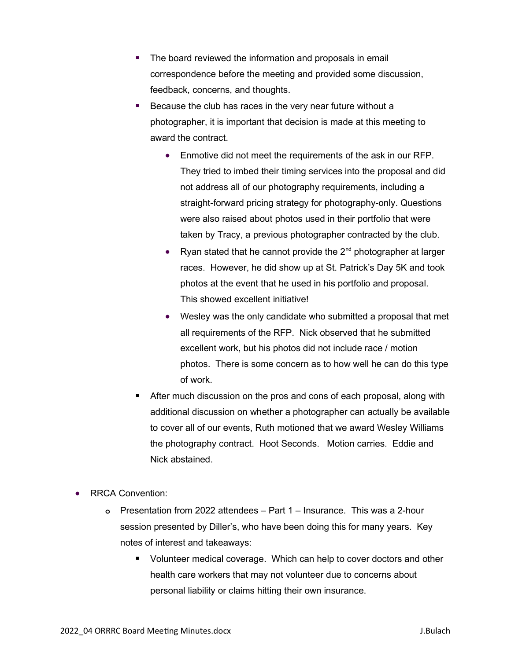- The board reviewed the information and proposals in email correspondence before the meeting and provided some discussion, feedback, concerns, and thoughts.
- Because the club has races in the very near future without a photographer, it is important that decision is made at this meeting to award the contract.
	- Enmotive did not meet the requirements of the ask in our RFP. They tried to imbed their timing services into the proposal and did not address all of our photography requirements, including a straight-forward pricing strategy for photography-only. Questions were also raised about photos used in their portfolio that were taken by Tracy, a previous photographer contracted by the club.
	- Ryan stated that he cannot provide the  $2^{nd}$  photographer at larger races. However, he did show up at St. Patrick's Day 5K and took photos at the event that he used in his portfolio and proposal. This showed excellent initiative!
	- Wesley was the only candidate who submitted a proposal that met all requirements of the RFP. Nick observed that he submitted excellent work, but his photos did not include race / motion photos. There is some concern as to how well he can do this type of work.
- After much discussion on the pros and cons of each proposal, along with additional discussion on whether a photographer can actually be available to cover all of our events, Ruth motioned that we award Wesley Williams the photography contract. Hoot Seconds. Motion carries. Eddie and Nick abstained.
- RRCA Convention:
	- o Presentation from 2022 attendees Part 1 Insurance. This was a 2-hour session presented by Diller's, who have been doing this for many years. Key notes of interest and takeaways:
		- **U** Volunteer medical coverage. Which can help to cover doctors and other health care workers that may not volunteer due to concerns about personal liability or claims hitting their own insurance.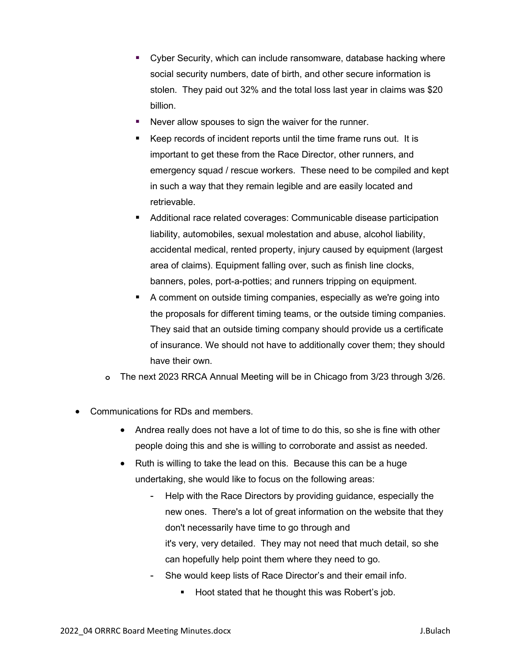- Cyber Security, which can include ransomware, database hacking where social security numbers, date of birth, and other secure information is stolen. They paid out 32% and the total loss last year in claims was \$20 billion.
- Never allow spouses to sign the waiver for the runner.
- Keep records of incident reports until the time frame runs out. It is important to get these from the Race Director, other runners, and emergency squad / rescue workers. These need to be compiled and kept in such a way that they remain legible and are easily located and retrievable.
- Additional race related coverages: Communicable disease participation liability, automobiles, sexual molestation and abuse, alcohol liability, accidental medical, rented property, injury caused by equipment (largest area of claims). Equipment falling over, such as finish line clocks, banners, poles, port-a-potties; and runners tripping on equipment.
- A comment on outside timing companies, especially as we're going into the proposals for different timing teams, or the outside timing companies. They said that an outside timing company should provide us a certificate of insurance. We should not have to additionally cover them; they should have their own.
- o The next 2023 RRCA Annual Meeting will be in Chicago from 3/23 through 3/26.
- Communications for RDs and members.
	- Andrea really does not have a lot of time to do this, so she is fine with other people doing this and she is willing to corroborate and assist as needed.
	- Ruth is willing to take the lead on this. Because this can be a huge undertaking, she would like to focus on the following areas:
		- Help with the Race Directors by providing guidance, especially the new ones. There's a lot of great information on the website that they don't necessarily have time to go through and it's very, very detailed. They may not need that much detail, so she can hopefully help point them where they need to go.
		- She would keep lists of Race Director's and their email info.
			- Hoot stated that he thought this was Robert's job.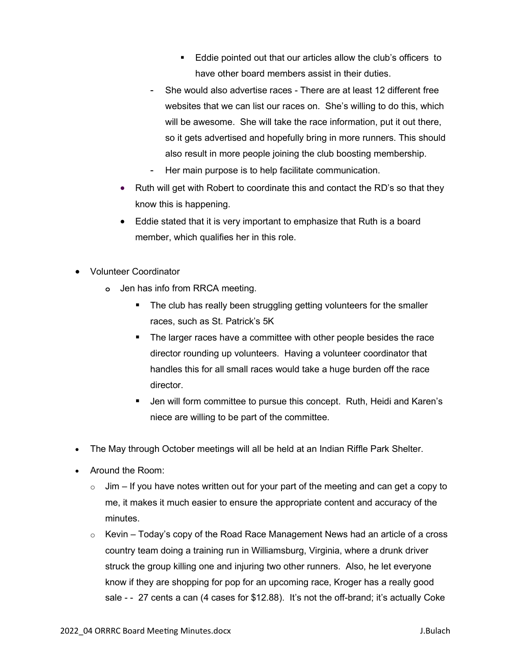- **Eddie pointed out that our articles allow the club's officers to** have other board members assist in their duties.
- She would also advertise races There are at least 12 different free websites that we can list our races on. She's willing to do this, which will be awesome. She will take the race information, put it out there, so it gets advertised and hopefully bring in more runners. This should also result in more people joining the club boosting membership.
- Her main purpose is to help facilitate communication.
- Ruth will get with Robert to coordinate this and contact the RD's so that they know this is happening.
- Eddie stated that it is very important to emphasize that Ruth is a board member, which qualifies her in this role.
- Volunteer Coordinator
	- o Jen has info from RRCA meeting.
		- The club has really been struggling getting volunteers for the smaller races, such as St. Patrick's 5K
		- **The larger races have a committee with other people besides the race** director rounding up volunteers. Having a volunteer coordinator that handles this for all small races would take a huge burden off the race director.
		- Jen will form committee to pursue this concept. Ruth, Heidi and Karen's niece are willing to be part of the committee.
- The May through October meetings will all be held at an Indian Riffle Park Shelter.
- Around the Room:
	- $\circ$  Jim If you have notes written out for your part of the meeting and can get a copy to me, it makes it much easier to ensure the appropriate content and accuracy of the minutes.
	- $\circ$  Kevin Today's copy of the Road Race Management News had an article of a cross country team doing a training run in Williamsburg, Virginia, where a drunk driver struck the group killing one and injuring two other runners. Also, he let everyone know if they are shopping for pop for an upcoming race, Kroger has a really good sale - - 27 cents a can (4 cases for \$12.88). It's not the off-brand; it's actually Coke